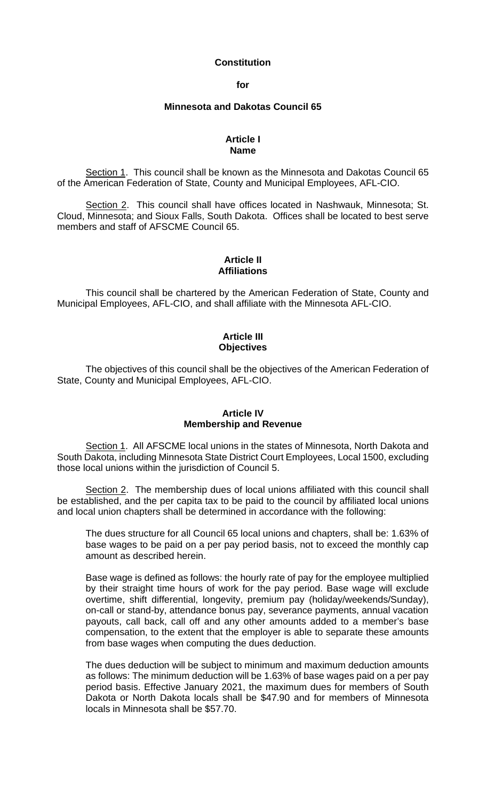#### **Constitution**

**for**

#### **Minnesota and Dakotas Council 65**

#### **Article I Name**

Section 1. This council shall be known as the Minnesota and Dakotas Council 65 of the American Federation of State, County and Municipal Employees, AFL-CIO.

Section 2. This council shall have offices located in Nashwauk, Minnesota; St. Cloud, Minnesota; and Sioux Falls, South Dakota. Offices shall be located to best serve members and staff of AFSCME Council 65.

# **Article II Affiliations**

This council shall be chartered by the American Federation of State, County and Municipal Employees, AFL-CIO, and shall affiliate with the Minnesota AFL-CIO.

# **Article III Objectives**

The objectives of this council shall be the objectives of the American Federation of State, County and Municipal Employees, AFL-CIO.

# **Article IV Membership and Revenue**

Section 1. All AFSCME local unions in the states of Minnesota, North Dakota and South Dakota, including Minnesota State District Court Employees, Local 1500, excluding those local unions within the jurisdiction of Council 5.

Section 2. The membership dues of local unions affiliated with this council shall be established, and the per capita tax to be paid to the council by affiliated local unions and local union chapters shall be determined in accordance with the following:

The dues structure for all Council 65 local unions and chapters, shall be: 1.63% of base wages to be paid on a per pay period basis, not to exceed the monthly cap amount as described herein.

Base wage is defined as follows: the hourly rate of pay for the employee multiplied by their straight time hours of work for the pay period. Base wage will exclude overtime, shift differential, longevity, premium pay (holiday/weekends/Sunday), on-call or stand-by, attendance bonus pay, severance payments, annual vacation payouts, call back, call off and any other amounts added to a member's base compensation, to the extent that the employer is able to separate these amounts from base wages when computing the dues deduction.

The dues deduction will be subject to minimum and maximum deduction amounts as follows: The minimum deduction will be 1.63% of base wages paid on a per pay period basis. Effective January 2021, the maximum dues for members of South Dakota or North Dakota locals shall be \$47.90 and for members of Minnesota locals in Minnesota shall be \$57.70.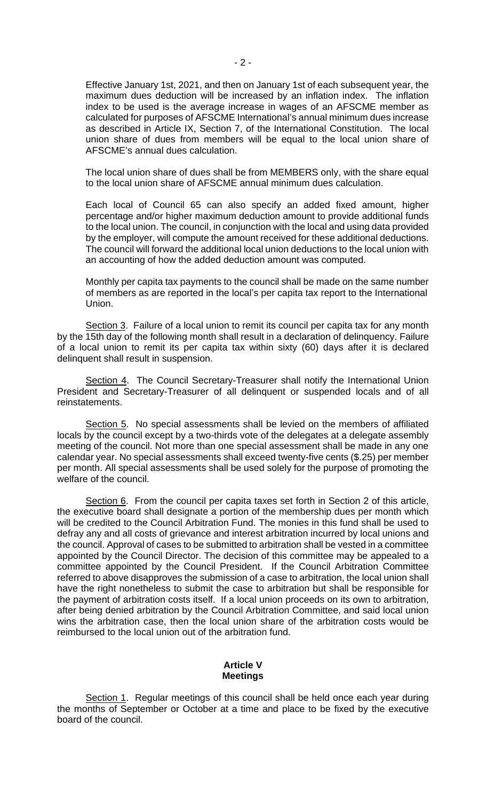Effective January 1st, 2021, and then on January 1st of each subsequent year, the maximum dues deduction will be increased by an inflation index. The inflation index to be used is the average increase in wages of an AFSCME member as calculated for purposes of AFSCME International's annual minimum dues increase as described in Article IX, Section 7, of the International Constitution. The local union share of dues from members will be equal to the local union share of AFSCME's annual dues calculation.

The local union share of dues shall be from MEMBERS only, with the share equal to the local union share of AFSCME annual minimum dues calculation.

Each local of Council 65 can also specify an added fixed amount, higher percentage and/or higher maximum deduction amount to provide additional funds to the local union. The council, in conjunction with the local and using data provided by the employer, will compute the amount received for these additional deductions. The council will forward the additional local union deductions to the local union with an accounting of how the added deduction amount was computed.

Monthly per capita tax payments to the council shall be made on the same number of members as are reported in the local's per capita tax report to the International Union.

Section 3. Failure of a local union to remit its council per capita tax for any month by the 15th day of the following month shall result in a declaration of delinquency. Failure of a local union to remit its per capita tax within sixty (60) days after it is declared delinquent shall result in suspension.

Section 4. The Council Secretary-Treasurer shall notify the International Union President and Secretary-Treasurer of all delinquent or suspended locals and of all reinstatements.

Section 5. No special assessments shall be levied on the members of affiliated locals by the council except by a two-thirds vote of the delegates at a delegate assembly meeting of the council. Not more than one special assessment shall be made in any one calendar year. No special assessments shall exceed twenty-five cents (\$.25) per member per month. All special assessments shall be used solely for the purpose of promoting the welfare of the council.

Section 6. From the council per capita taxes set forth in Section 2 of this article, the executive board shall designate a portion of the membership dues per month which will be credited to the Council Arbitration Fund. The monies in this fund shall be used to defray any and all costs of grievance and interest arbitration incurred by local unions and the council. Approval of cases to be submitted to arbitration shall be vested in a committee appointed by the Council Director. The decision of this committee may be appealed to a committee appointed by the Council President. If the Council Arbitration Committee referred to above disapproves the submission of a case to arbitration, the local union shall have the right nonetheless to submit the case to arbitration but shall be responsible for the payment of arbitration costs itself. If a local union proceeds on its own to arbitration, after being denied arbitration by the Council Arbitration Committee, and said local union wins the arbitration case, then the local union share of the arbitration costs would be reimbursed to the local union out of the arbitration fund.

# **Article V Meetings**

Section 1. Regular meetings of this council shall be held once each year during the months of September or October at a time and place to be fixed by the executive board of the council.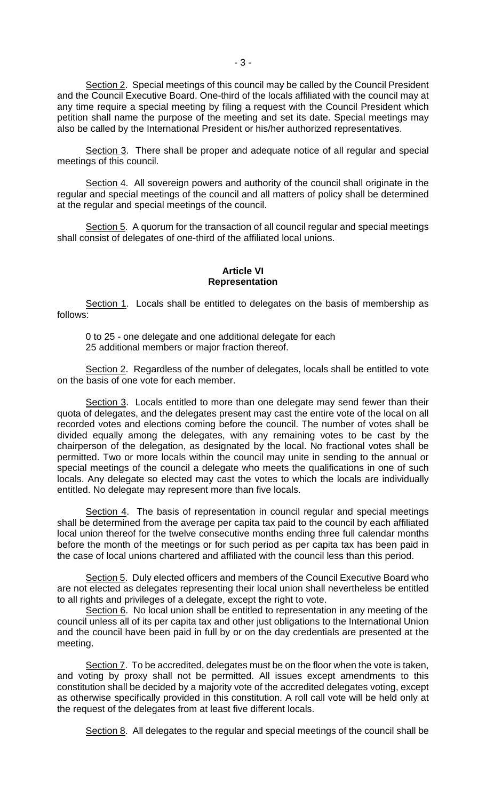Section 2. Special meetings of this council may be called by the Council President and the Council Executive Board. One-third of the locals affiliated with the council may at any time require a special meeting by filing a request with the Council President which petition shall name the purpose of the meeting and set its date. Special meetings may also be called by the International President or his/her authorized representatives.

Section 3. There shall be proper and adequate notice of all regular and special meetings of this council.

Section 4. All sovereign powers and authority of the council shall originate in the regular and special meetings of the council and all matters of policy shall be determined at the regular and special meetings of the council.

Section 5. A quorum for the transaction of all council regular and special meetings shall consist of delegates of one-third of the affiliated local unions.

#### **Article VI Representation**

Section 1. Locals shall be entitled to delegates on the basis of membership as follows:

0 to 25 - one delegate and one additional delegate for each 25 additional members or major fraction thereof.

Section 2. Regardless of the number of delegates, locals shall be entitled to vote on the basis of one vote for each member.

Section 3. Locals entitled to more than one delegate may send fewer than their quota of delegates, and the delegates present may cast the entire vote of the local on all recorded votes and elections coming before the council. The number of votes shall be divided equally among the delegates, with any remaining votes to be cast by the chairperson of the delegation, as designated by the local. No fractional votes shall be permitted. Two or more locals within the council may unite in sending to the annual or special meetings of the council a delegate who meets the qualifications in one of such locals. Any delegate so elected may cast the votes to which the locals are individually entitled. No delegate may represent more than five locals.

Section 4. The basis of representation in council regular and special meetings shall be determined from the average per capita tax paid to the council by each affiliated local union thereof for the twelve consecutive months ending three full calendar months before the month of the meetings or for such period as per capita tax has been paid in the case of local unions chartered and affiliated with the council less than this period.

Section 5. Duly elected officers and members of the Council Executive Board who are not elected as delegates representing their local union shall nevertheless be entitled to all rights and privileges of a delegate, except the right to vote.

Section 6. No local union shall be entitled to representation in any meeting of the council unless all of its per capita tax and other just obligations to the International Union and the council have been paid in full by or on the day credentials are presented at the meeting.

Section 7. To be accredited, delegates must be on the floor when the vote is taken, and voting by proxy shall not be permitted. All issues except amendments to this constitution shall be decided by a majority vote of the accredited delegates voting, except as otherwise specifically provided in this constitution. A roll call vote will be held only at the request of the delegates from at least five different locals.

Section 8. All delegates to the regular and special meetings of the council shall be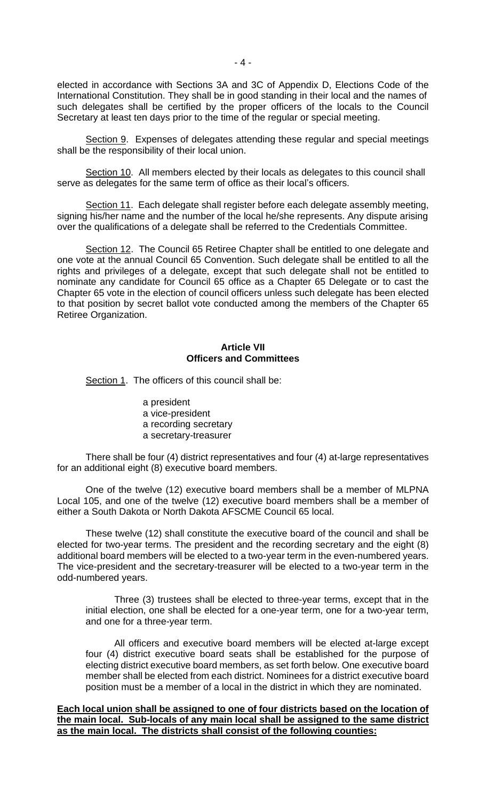elected in accordance with Sections 3A and 3C of Appendix D, Elections Code of the International Constitution. They shall be in good standing in their local and the names of such delegates shall be certified by the proper officers of the locals to the Council Secretary at least ten days prior to the time of the regular or special meeting.

Section 9. Expenses of delegates attending these regular and special meetings shall be the responsibility of their local union.

Section 10. All members elected by their locals as delegates to this council shall serve as delegates for the same term of office as their local's officers.

Section 11. Each delegate shall register before each delegate assembly meeting, signing his/her name and the number of the local he/she represents. Any dispute arising over the qualifications of a delegate shall be referred to the Credentials Committee.

Section 12. The Council 65 Retiree Chapter shall be entitled to one delegate and one vote at the annual Council 65 Convention. Such delegate shall be entitled to all the rights and privileges of a delegate, except that such delegate shall not be entitled to nominate any candidate for Council 65 office as a Chapter 65 Delegate or to cast the Chapter 65 vote in the election of council officers unless such delegate has been elected to that position by secret ballot vote conducted among the members of the Chapter 65 Retiree Organization.

#### **Article VII Officers and Committees**

Section 1. The officers of this council shall be:

a president a vice-president a recording secretary a secretary-treasurer

There shall be four (4) district representatives and four (4) at-large representatives for an additional eight (8) executive board members.

One of the twelve (12) executive board members shall be a member of MLPNA Local 105, and one of the twelve (12) executive board members shall be a member of either a South Dakota or North Dakota AFSCME Council 65 local.

These twelve (12) shall constitute the executive board of the council and shall be elected for two-year terms. The president and the recording secretary and the eight (8) additional board members will be elected to a two-year term in the even-numbered years. The vice-president and the secretary-treasurer will be elected to a two-year term in the odd-numbered years.

Three (3) trustees shall be elected to three-year terms, except that in the initial election, one shall be elected for a one-year term, one for a two-year term, and one for a three-year term.

All officers and executive board members will be elected at-large except four (4) district executive board seats shall be established for the purpose of electing district executive board members, as set forth below. One executive board member shall be elected from each district. Nominees for a district executive board position must be a member of a local in the district in which they are nominated.

**Each local union shall be assigned to one of four districts based on the location of the main local. Sub-locals of any main local shall be assigned to the same district as the main local. The districts shall consist of the following counties:**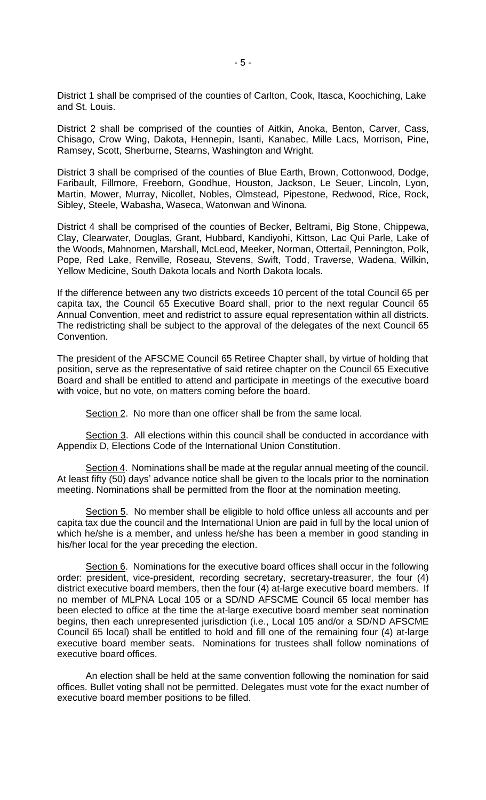District 1 shall be comprised of the counties of Carlton, Cook, Itasca, Koochiching, Lake and St. Louis.

District 2 shall be comprised of the counties of Aitkin, Anoka, Benton, Carver, Cass, Chisago, Crow Wing, Dakota, Hennepin, Isanti, Kanabec, Mille Lacs, Morrison, Pine, Ramsey, Scott, Sherburne, Stearns, Washington and Wright.

District 3 shall be comprised of the counties of Blue Earth, Brown, Cottonwood, Dodge, Faribault, Fillmore, Freeborn, Goodhue, Houston, Jackson, Le Seuer, Lincoln, Lyon, Martin, Mower, Murray, Nicollet, Nobles, Olmstead, Pipestone, Redwood, Rice, Rock, Sibley, Steele, Wabasha, Waseca, Watonwan and Winona.

District 4 shall be comprised of the counties of Becker, Beltrami, Big Stone, Chippewa, Clay, Clearwater, Douglas, Grant, Hubbard, Kandiyohi, Kittson, Lac Qui Parle, Lake of the Woods, Mahnomen, Marshall, McLeod, Meeker, Norman, Ottertail, Pennington, Polk, Pope, Red Lake, Renville, Roseau, Stevens, Swift, Todd, Traverse, Wadena, Wilkin, Yellow Medicine, South Dakota locals and North Dakota locals.

If the difference between any two districts exceeds 10 percent of the total Council 65 per capita tax, the Council 65 Executive Board shall, prior to the next regular Council 65 Annual Convention, meet and redistrict to assure equal representation within all districts. The redistricting shall be subject to the approval of the delegates of the next Council 65 Convention.

The president of the AFSCME Council 65 Retiree Chapter shall, by virtue of holding that position, serve as the representative of said retiree chapter on the Council 65 Executive Board and shall be entitled to attend and participate in meetings of the executive board with voice, but no vote, on matters coming before the board.

Section 2. No more than one officer shall be from the same local.

Section 3. All elections within this council shall be conducted in accordance with Appendix D, Elections Code of the International Union Constitution.

Section 4. Nominations shall be made at the regular annual meeting of the council. At least fifty (50) days' advance notice shall be given to the locals prior to the nomination meeting. Nominations shall be permitted from the floor at the nomination meeting.

Section 5. No member shall be eligible to hold office unless all accounts and per capita tax due the council and the International Union are paid in full by the local union of which he/she is a member, and unless he/she has been a member in good standing in his/her local for the year preceding the election.

Section 6. Nominations for the executive board offices shall occur in the following order: president, vice-president, recording secretary, secretary-treasurer, the four (4) district executive board members, then the four (4) at-large executive board members. If no member of MLPNA Local 105 or a SD/ND AFSCME Council 65 local member has been elected to office at the time the at-large executive board member seat nomination begins, then each unrepresented jurisdiction (i.e., Local 105 and/or a SD/ND AFSCME Council 65 local) shall be entitled to hold and fill one of the remaining four (4) at-large executive board member seats. Nominations for trustees shall follow nominations of executive board offices.

An election shall be held at the same convention following the nomination for said offices. Bullet voting shall not be permitted. Delegates must vote for the exact number of executive board member positions to be filled.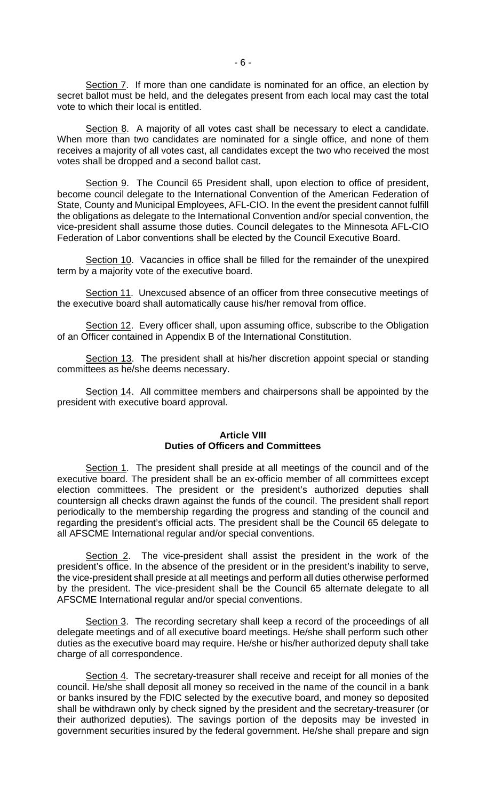Section 7. If more than one candidate is nominated for an office, an election by secret ballot must be held, and the delegates present from each local may cast the total vote to which their local is entitled.

Section 8. A majority of all votes cast shall be necessary to elect a candidate. When more than two candidates are nominated for a single office, and none of them receives a majority of all votes cast, all candidates except the two who received the most votes shall be dropped and a second ballot cast.

Section 9. The Council 65 President shall, upon election to office of president, become council delegate to the International Convention of the American Federation of State, County and Municipal Employees, AFL-CIO. In the event the president cannot fulfill the obligations as delegate to the International Convention and/or special convention, the vice-president shall assume those duties. Council delegates to the Minnesota AFL-CIO Federation of Labor conventions shall be elected by the Council Executive Board.

Section 10. Vacancies in office shall be filled for the remainder of the unexpired term by a majority vote of the executive board.

Section 11. Unexcused absence of an officer from three consecutive meetings of the executive board shall automatically cause his/her removal from office.

Section 12. Every officer shall, upon assuming office, subscribe to the Obligation of an Officer contained in Appendix B of the International Constitution.

Section 13. The president shall at his/her discretion appoint special or standing committees as he/she deems necessary.

Section 14. All committee members and chairpersons shall be appointed by the president with executive board approval.

# **Article VIII Duties of Officers and Committees**

Section 1. The president shall preside at all meetings of the council and of the executive board. The president shall be an ex-officio member of all committees except election committees. The president or the president's authorized deputies shall countersign all checks drawn against the funds of the council. The president shall report periodically to the membership regarding the progress and standing of the council and regarding the president's official acts. The president shall be the Council 65 delegate to all AFSCME International regular and/or special conventions.

Section 2. The vice-president shall assist the president in the work of the president's office. In the absence of the president or in the president's inability to serve, the vice-president shall preside at all meetings and perform all duties otherwise performed by the president. The vice-president shall be the Council 65 alternate delegate to all AFSCME International regular and/or special conventions.

Section 3. The recording secretary shall keep a record of the proceedings of all delegate meetings and of all executive board meetings. He/she shall perform such other duties as the executive board may require. He/she or his/her authorized deputy shall take charge of all correspondence.

Section 4. The secretary-treasurer shall receive and receipt for all monies of the council. He/she shall deposit all money so received in the name of the council in a bank or banks insured by the FDIC selected by the executive board, and money so deposited shall be withdrawn only by check signed by the president and the secretary-treasurer (or their authorized deputies). The savings portion of the deposits may be invested in government securities insured by the federal government. He/she shall prepare and sign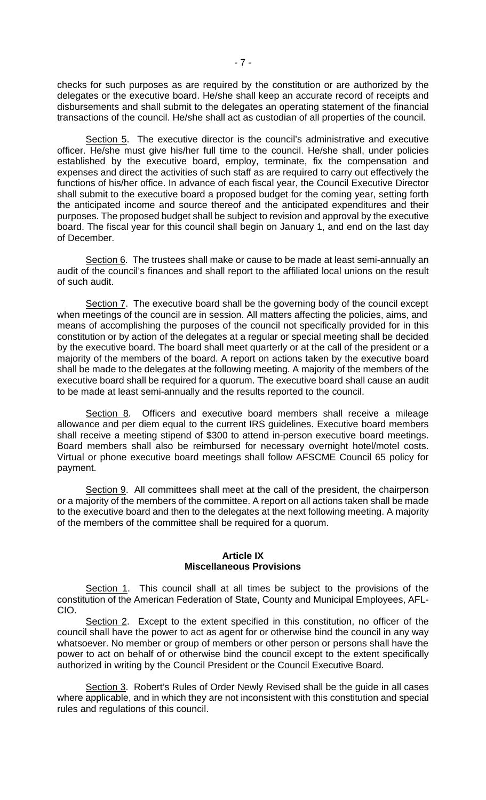checks for such purposes as are required by the constitution or are authorized by the delegates or the executive board. He/she shall keep an accurate record of receipts and disbursements and shall submit to the delegates an operating statement of the financial transactions of the council. He/she shall act as custodian of all properties of the council.

Section 5. The executive director is the council's administrative and executive officer. He/she must give his/her full time to the council. He/she shall, under policies established by the executive board, employ, terminate, fix the compensation and expenses and direct the activities of such staff as are required to carry out effectively the functions of his/her office. In advance of each fiscal year, the Council Executive Director shall submit to the executive board a proposed budget for the coming year, setting forth the anticipated income and source thereof and the anticipated expenditures and their purposes. The proposed budget shall be subject to revision and approval by the executive board. The fiscal year for this council shall begin on January 1, and end on the last day of December.

Section 6. The trustees shall make or cause to be made at least semi-annually an audit of the council's finances and shall report to the affiliated local unions on the result of such audit.

Section 7. The executive board shall be the governing body of the council except when meetings of the council are in session. All matters affecting the policies, aims, and means of accomplishing the purposes of the council not specifically provided for in this constitution or by action of the delegates at a regular or special meeting shall be decided by the executive board. The board shall meet quarterly or at the call of the president or a majority of the members of the board. A report on actions taken by the executive board shall be made to the delegates at the following meeting. A majority of the members of the executive board shall be required for a quorum. The executive board shall cause an audit to be made at least semi-annually and the results reported to the council.

Section 8. Officers and executive board members shall receive a mileage allowance and per diem equal to the current IRS guidelines. Executive board members shall receive a meeting stipend of \$300 to attend in-person executive board meetings. Board members shall also be reimbursed for necessary overnight hotel/motel costs. Virtual or phone executive board meetings shall follow AFSCME Council 65 policy for payment.

Section 9. All committees shall meet at the call of the president, the chairperson or a majority of the members of the committee. A report on all actions taken shall be made to the executive board and then to the delegates at the next following meeting. A majority of the members of the committee shall be required for a quorum.

# **Article IX Miscellaneous Provisions**

Section 1. This council shall at all times be subject to the provisions of the constitution of the American Federation of State, County and Municipal Employees, AFL-CIO.

Section 2. Except to the extent specified in this constitution, no officer of the council shall have the power to act as agent for or otherwise bind the council in any way whatsoever. No member or group of members or other person or persons shall have the power to act on behalf of or otherwise bind the council except to the extent specifically authorized in writing by the Council President or the Council Executive Board.

Section 3. Robert's Rules of Order Newly Revised shall be the guide in all cases where applicable, and in which they are not inconsistent with this constitution and special rules and regulations of this council.